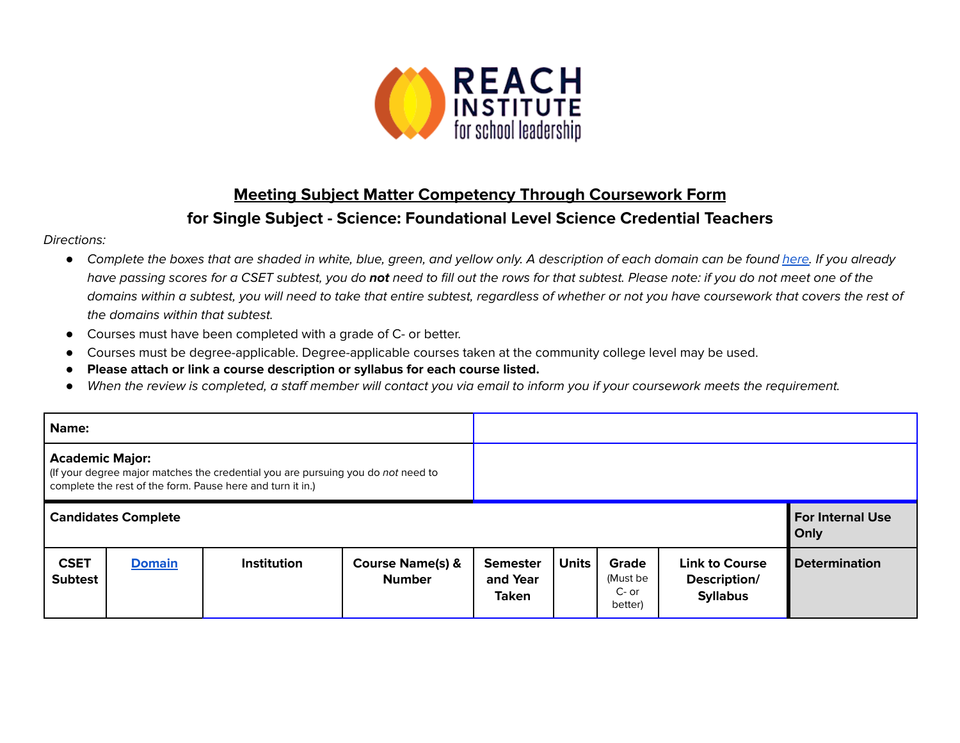

## **Meeting Subject Matter Competency Through Coursework Form for Single Subject - Science: Foundational Level Science Credential Teachers**

## Directions:

- Complete the boxes that are shaded in white, blue, green, and yellow only. A description of each domain can be found [here.](https://www.ctc.ca.gov/docs/default-source/educator-prep/files/domains-of-subject-matter-requirements.pdf?sfvrsn=dcd525b1_2) If you already have passing scores for a CSET subtest, you do **not** need to fill out the rows for that subtest. Please note: if you do not meet one of the domains within a subtest, you will need to take that entire subtest, regardless of whether or not you have coursework that covers the rest of the domains within that subtest.
- *●* Courses must have been completed with a grade of C- or better.
- Courses must be degree-applicable. Degree-applicable courses taken at the community college level may be used.
- *●* **Please attach or link a course description or syllabus for each course listed.**
- *●* When the review is completed, a staff member will contact you via email to inform you if your coursework meets the requirement.

| Name:                                                                                                                                                                    |               |                    |                                              |                                             |                                 |                                       |                                                          |                      |
|--------------------------------------------------------------------------------------------------------------------------------------------------------------------------|---------------|--------------------|----------------------------------------------|---------------------------------------------|---------------------------------|---------------------------------------|----------------------------------------------------------|----------------------|
| <b>Academic Major:</b><br>(If your degree major matches the credential you are pursuing you do not need to<br>complete the rest of the form. Pause here and turn it in.) |               |                    |                                              |                                             |                                 |                                       |                                                          |                      |
| <b>Candidates Complete</b>                                                                                                                                               |               |                    |                                              |                                             | <b>For Internal Use</b><br>Only |                                       |                                                          |                      |
| <b>CSET</b><br><b>Subtest</b>                                                                                                                                            | <b>Domain</b> | <b>Institution</b> | <b>Course Name(s) &amp;</b><br><b>Number</b> | <b>Semester</b><br>and Year<br><b>Taken</b> | <b>Units</b>                    | Grade<br>(Must be<br>C- or<br>better) | <b>Link to Course</b><br>Description/<br><b>Syllabus</b> | <b>Determination</b> |